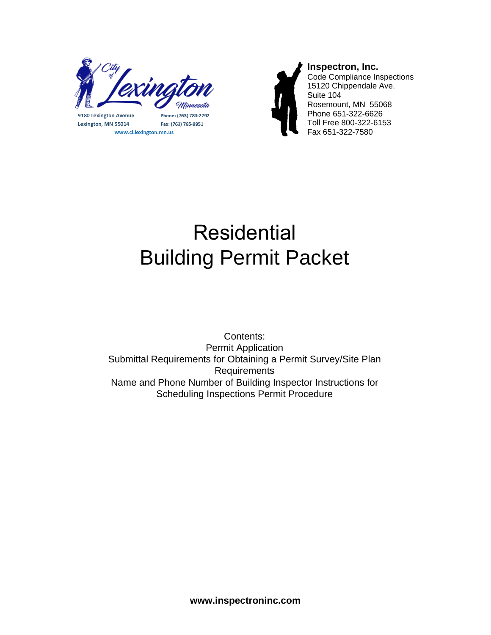

9180 Lexington Avenue Lexington, MN 55014 www.ci.lexington.mn.us

Phone: (763) 784-2792 Fax: (763) 785-8951



# Residential Building Permit Packet

Contents: Permit Application Submittal Requirements for Obtaining a Permit Survey/Site Plan Requirements Name and Phone Number of Building Inspector Instructions for Scheduling Inspections Permit Procedure

**www.inspectroninc.com**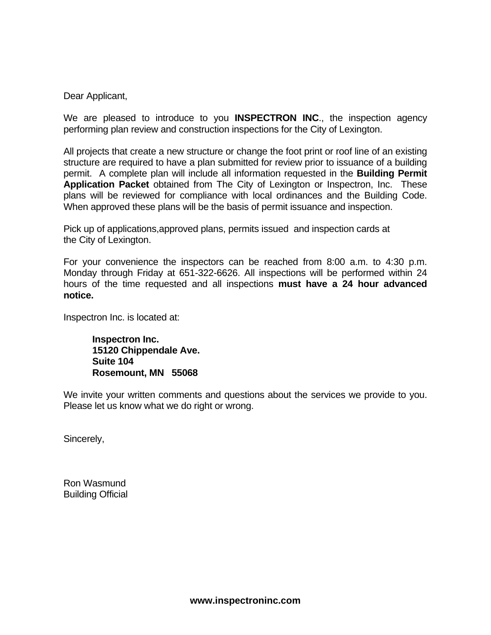Dear Applicant,

We are pleased to introduce to you **INSPECTRON INC**., the inspection agency performing plan review and construction inspections for the City of Lexington.

All projects that create a new structure or change the foot print or roof line of an existing structure are required to have a plan submitted for review prior to issuance of a building permit. A complete plan will include all information requested in the **Building Permit Application Packet** obtained from The City of Lexington or Inspectron, Inc. These plans will be reviewed for compliance with local ordinances and the Building Code. When approved these plans will be the basis of permit issuance and inspection.

Pick up of applications,approved plans, permits issued and inspection cards at the City of Lexington.

For your convenience the inspectors can be reached from 8:00 a.m. to 4:30 p.m. Monday through Friday at 651-322-6626. All inspections will be performed within 24 hours of the time requested and all inspections **must have a 24 hour advanced notice.** 

Inspectron Inc. is located at:

 **Inspectron Inc. 15120 Chippendale Ave. Suite 104 Rosemount, MN 55068** 

We invite your written comments and questions about the services we provide to you. Please let us know what we do right or wrong.

Sincerely,

Ron Wasmund Building Official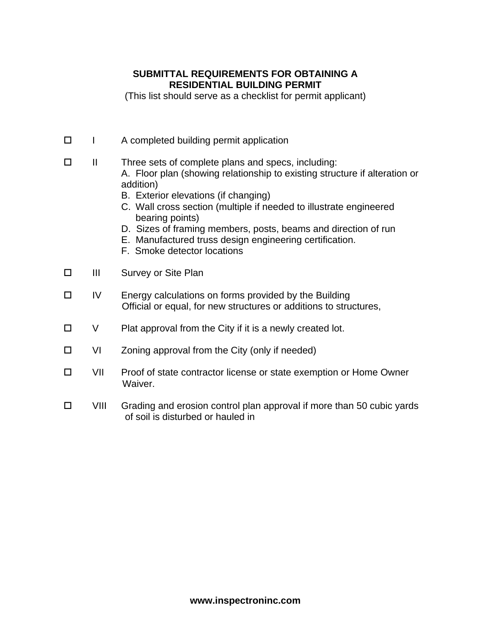## **SUBMITTAL REQUIREMENTS FOR OBTAINING A RESIDENTIAL BUILDING PERMIT**

(This list should serve as a checklist for permit applicant)

- $\Box$  I A completed building permit application
- II Three sets of complete plans and specs, including: A. Floor plan (showing relationship to existing structure if alteration or addition)
	- B. Exterior elevations (if changing)
	- C. Wall cross section (multiple if needed to illustrate engineered bearing points)
	- D. Sizes of framing members, posts, beams and direction of run
	- E. Manufactured truss design engineering certification.
	- F. Smoke detector locations
- □ III Survey or Site Plan
- $\Box$  IV Energy calculations on forms provided by the Building Official or equal, for new structures or additions to structures,
- $\Box$  V Plat approval from the City if it is a newly created lot.
- $\Box$  VI Zoning approval from the City (only if needed)
- □ VII Proof of state contractor license or state exemption or Home Owner Waiver.
- $\Box$  VIII Grading and erosion control plan approval if more than 50 cubic yards of soil is disturbed or hauled in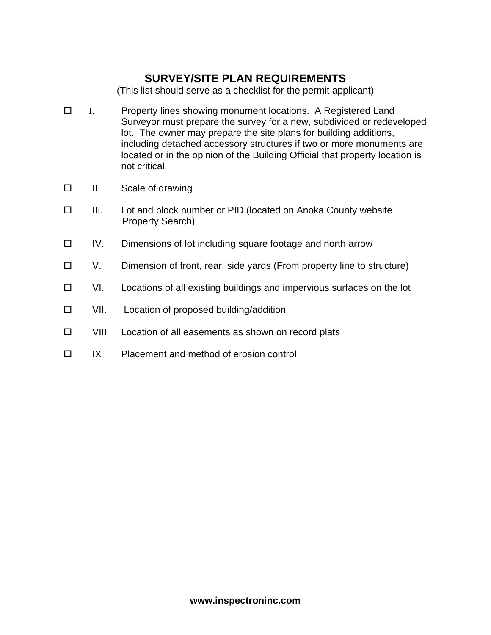# **SURVEY/SITE PLAN REQUIREMENTS**

(This list should serve as a checklist for the permit applicant)

- I. Property lines showing monument locations. A Registered Land Surveyor must prepare the survey for a new, subdivided or redeveloped lot. The owner may prepare the site plans for building additions, including detached accessory structures if two or more monuments are located or in the opinion of the Building Official that property location is not critical.
- □ II. Scale of drawing
- III. Lot and block number or PID (located on Anoka County website Property Search)
- IV. Dimensions of lot including square footage and north arrow
- V. Dimension of front, rear, side yards (From property line to structure)
- □ VI. Locations of all existing buildings and impervious surfaces on the lot
- $\square$  VII. Location of proposed building/addition
- □ VIII Location of all easements as shown on record plats
- $\Box$  IX Placement and method of erosion control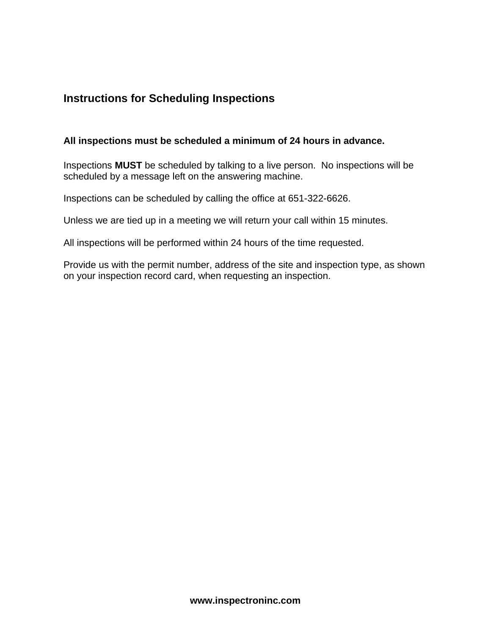# **Instructions for Scheduling Inspections**

#### **All inspections must be scheduled a minimum of 24 hours in advance.**

Inspections **MUST** be scheduled by talking to a live person. No inspections will be scheduled by a message left on the answering machine.

Inspections can be scheduled by calling the office at 651-322-6626.

Unless we are tied up in a meeting we will return your call within 15 minutes.

All inspections will be performed within 24 hours of the time requested.

Provide us with the permit number, address of the site and inspection type, as shown on your inspection record card, when requesting an inspection.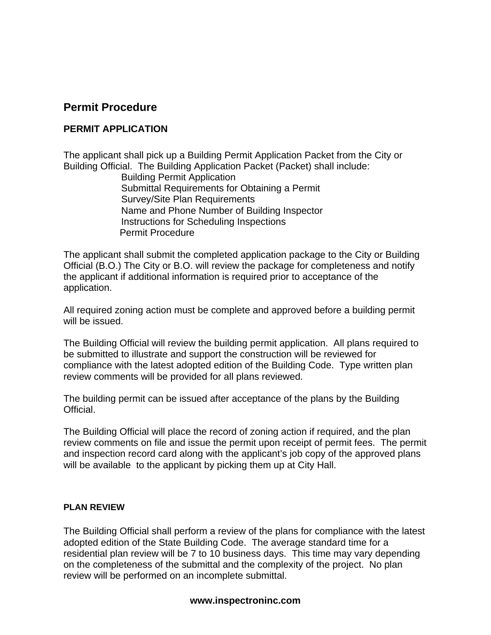## **Permit Procedure**

## **PERMIT APPLICATION**

The applicant shall pick up a Building Permit Application Packet from the City or Building Official. The Building Application Packet (Packet) shall include: Building Permit Application Submittal Requirements for Obtaining a Permit Survey/Site Plan Requirements Name and Phone Number of Building Inspector Instructions for Scheduling Inspections Permit Procedure

The applicant shall submit the completed application package to the City or Building Official (B.O.) The City or B.O. will review the package for completeness and notify the applicant if additional information is required prior to acceptance of the application.

All required zoning action must be complete and approved before a building permit will be issued.

The Building Official will review the building permit application. All plans required to be submitted to illustrate and support the construction will be reviewed for compliance with the latest adopted edition of the Building Code. Type written plan review comments will be provided for all plans reviewed.

The building permit can be issued after acceptance of the plans by the Building Official.

The Building Official will place the record of zoning action if required, and the plan review comments on file and issue the permit upon receipt of permit fees. The permit and inspection record card along with the applicant's job copy of the approved plans will be available to the applicant by picking them up at City Hall.

#### **PLAN REVIEW**

The Building Official shall perform a review of the plans for compliance with the latest adopted edition of the State Building Code. The average standard time for a residential plan review will be 7 to 10 business days. This time may vary depending on the completeness of the submittal and the complexity of the project. No plan review will be performed on an incomplete submittal.

#### **www.inspectroninc.com**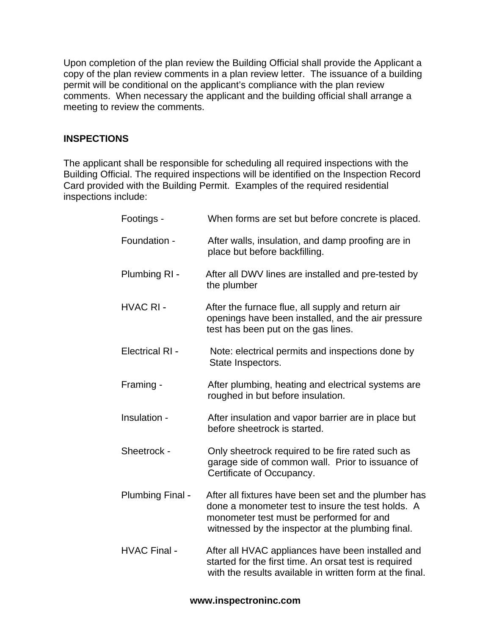Upon completion of the plan review the Building Official shall provide the Applicant a copy of the plan review comments in a plan review letter. The issuance of a building permit will be conditional on the applicant's compliance with the plan review comments. When necessary the applicant and the building official shall arrange a meeting to review the comments.

## **INSPECTIONS**

The applicant shall be responsible for scheduling all required inspections with the Building Official. The required inspections will be identified on the Inspection Record Card provided with the Building Permit. Examples of the required residential inspections include:

| Footings -             | When forms are set but before concrete is placed.                                                                                                                                                          |
|------------------------|------------------------------------------------------------------------------------------------------------------------------------------------------------------------------------------------------------|
| Foundation -           | After walls, insulation, and damp proofing are in<br>place but before backfilling.                                                                                                                         |
| Plumbing RI -          | After all DWV lines are installed and pre-tested by<br>the plumber                                                                                                                                         |
| <b>HVAC RI-</b>        | After the furnace flue, all supply and return air<br>openings have been installed, and the air pressure<br>test has been put on the gas lines.                                                             |
| <b>Electrical RI -</b> | Note: electrical permits and inspections done by<br>State Inspectors.                                                                                                                                      |
| Framing -              | After plumbing, heating and electrical systems are<br>roughed in but before insulation.                                                                                                                    |
| Insulation -           | After insulation and vapor barrier are in place but<br>before sheetrock is started.                                                                                                                        |
| Sheetrock -            | Only sheetrock required to be fire rated such as<br>garage side of common wall. Prior to issuance of<br>Certificate of Occupancy.                                                                          |
| Plumbing Final -       | After all fixtures have been set and the plumber has<br>done a monometer test to insure the test holds. A<br>monometer test must be performed for and<br>witnessed by the inspector at the plumbing final. |
| <b>HVAC Final -</b>    | After all HVAC appliances have been installed and<br>started for the first time. An orsat test is required<br>with the results available in written form at the final.                                     |

#### **www.inspectroninc.com**